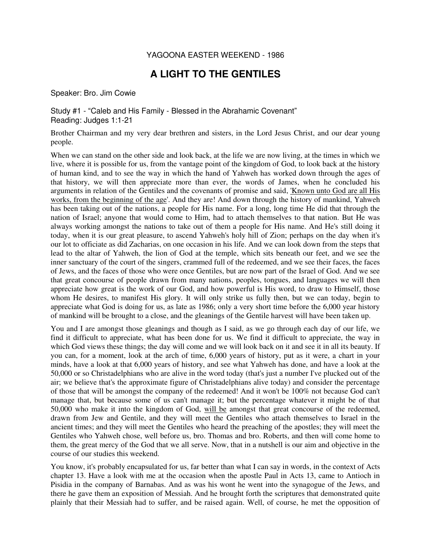## YAGOONA EASTER WEEKEND - 1986

## **A LIGHT TO THE GENTILES**

Speaker: Bro. Jim Cowie

Study #1 - "Caleb and His Family - Blessed in the Abrahamic Covenant" Reading: Judges 1:1-21

Brother Chairman and my very dear brethren and sisters, in the Lord Jesus Christ, and our dear young people.

When we can stand on the other side and look back, at the life we are now living, at the times in which we live, where it is possible for us, from the vantage point of the kingdom of God, to look back at the history of human kind, and to see the way in which the hand of Yahweh has worked down through the ages of that history, we will then appreciate more than ever, the words of James, when he concluded his arguments in relation of the Gentiles and the covenants of promise and said, 'Known unto God are all His works, from the beginning of the age'. And they are! And down through the history of mankind, Yahweh has been taking out of the nations, a people for His name. For a long, long time He did that through the nation of Israel; anyone that would come to Him, had to attach themselves to that nation. But He was always working amongst the nations to take out of them a people for His name. And He's still doing it today, when it is our great pleasure, to ascend Yahweh's holy hill of Zion; perhaps on the day when it's our lot to officiate as did Zacharias, on one occasion in his life. And we can look down from the steps that lead to the altar of Yahweh, the lion of God at the temple, which sits beneath our feet, and we see the inner sanctuary of the court of the singers, crammed full of the redeemed, and we see their faces, the faces of Jews, and the faces of those who were once Gentiles, but are now part of the Israel of God. And we see that great concourse of people drawn from many nations, peoples, tongues, and languages we will then appreciate how great is the work of our God, and how powerful is His word, to draw to Himself, those whom He desires, to manifest His glory. It will only strike us fully then, but we can today, begin to appreciate what God is doing for us, as late as 1986; only a very short time before the 6,000 year history of mankind will be brought to a close, and the gleanings of the Gentile harvest will have been taken up.

You and I are amongst those gleanings and though as I said, as we go through each day of our life, we find it difficult to appreciate, what has been done for us. We find it difficult to appreciate, the way in which God views these things; the day will come and we will look back on it and see it in all its beauty. If you can, for a moment, look at the arch of time, 6,000 years of history, put as it were, a chart in your minds, have a look at that 6,000 years of history, and see what Yahweh has done, and have a look at the 50,000 or so Christadelphians who are alive in the word today (that's just a number I've plucked out of the air; we believe that's the approximate figure of Christadelphians alive today) and consider the percentage of those that will be amongst the company of the redeemed! And it won't be 100% not because God can't manage that, but because some of us can't manage it; but the percentage whatever it might be of that 50,000 who make it into the kingdom of God, will be amongst that great concourse of the redeemed, drawn from Jew and Gentile, and they will meet the Gentiles who attach themselves to Israel in the ancient times; and they will meet the Gentiles who heard the preaching of the apostles; they will meet the Gentiles who Yahweh chose, well before us, bro. Thomas and bro. Roberts, and then will come home to them, the great mercy of the God that we all serve. Now, that in a nutshell is our aim and objective in the course of our studies this weekend.

You know, it's probably encapsulated for us, far better than what I can say in words, in the context of Acts chapter 13. Have a look with me at the occasion when the apostle Paul in Acts 13, came to Antioch in Pisidia in the company of Barnabas. And as was his wont he went into the synagogue of the Jews, and there he gave them an exposition of Messiah. And he brought forth the scriptures that demonstrated quite plainly that their Messiah had to suffer, and be raised again. Well, of course, he met the opposition of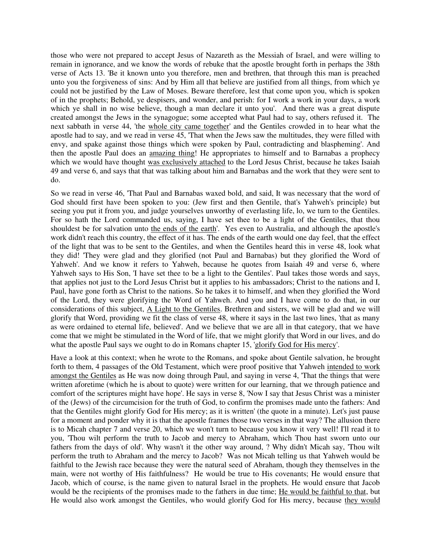those who were not prepared to accept Jesus of Nazareth as the Messiah of Israel, and were willing to remain in ignorance, and we know the words of rebuke that the apostle brought forth in perhaps the 38th verse of Acts 13. 'Be it known unto you therefore, men and brethren, that through this man is preached unto you the forgiveness of sins: And by Him all that believe are justified from all things, from which ye could not be justified by the Law of Moses. Beware therefore, lest that come upon you, which is spoken of in the prophets; Behold, ye despisers, and wonder, and perish: for I work a work in your days, a work which ye shall in no wise believe, though a man declare it unto you'. And there was a great dispute created amongst the Jews in the synagogue; some accepted what Paul had to say, others refused it. The next sabbath in verse 44, 'the whole city came together' and the Gentiles crowded in to hear what the apostle had to say, and we read in verse 45, 'That when the Jews saw the multitudes, they were filled with envy, and spake against those things which were spoken by Paul, contradicting and blaspheming'. And then the apostle Paul does an amazing thing! He appropriates to himself and to Barnabas a prophecy which we would have thought was exclusively attached to the Lord Jesus Christ, because he takes Isaiah 49 and verse 6, and says that that was talking about him and Barnabas and the work that they were sent to do.

So we read in verse 46, 'That Paul and Barnabas waxed bold, and said, It was necessary that the word of God should first have been spoken to you: (Jew first and then Gentile, that's Yahweh's principle) but seeing you put it from you, and judge yourselves unworthy of everlasting life, lo, we turn to the Gentiles. For so hath the Lord commanded us, saying, I have set thee to be a light of the Gentiles, that thou shouldest be for salvation unto the ends of the earth'. Yes even to Australia, and although the apostle's work didn't reach this country, the effect of it has. The ends of the earth would one day feel, that the effect of the light that was to be sent to the Gentiles, and when the Gentiles heard this in verse 48, look what they did! 'They were glad and they glorified (not Paul and Barnabas) but they glorified the Word of Yahweh'. And we know it refers to Yahweh, because he quotes from Isaiah 49 and verse 6, where Yahweh says to His Son, 'I have set thee to be a light to the Gentiles'. Paul takes those words and says, that applies not just to the Lord Jesus Christ but it applies to his ambassadors; Christ to the nations and I, Paul, have gone forth as Christ to the nations. So he takes it to himself, and when they glorified the Word of the Lord, they were glorifying the Word of Yahweh. And you and I have come to do that, in our considerations of this subject, A Light to the Gentiles. Brethren and sisters, we will be glad and we will glorify that Word, providing we fit the class of verse 48, where it says in the last two lines, 'that as many as were ordained to eternal life, believed'. And we believe that we are all in that category, that we have come that we might be stimulated in the Word of life, that we might glorify that Word in our lives, and do what the apostle Paul says we ought to do in Romans chapter 15, 'glorify God for His mercy'.

Have a look at this context; when he wrote to the Romans, and spoke about Gentile salvation, he brought forth to them, 4 passages of the Old Testament, which were proof positive that Yahweh intended to work amongst the Gentiles as He was now doing through Paul, and saying in verse 4, 'That the things that were written aforetime (which he is about to quote) were written for our learning, that we through patience and comfort of the scriptures might have hope'. He says in verse 8, 'Now I say that Jesus Christ was a minister of the (Jews) of the circumcision for the truth of God, to confirm the promises made unto the fathers: And that the Gentiles might glorify God for His mercy; as it is written' (the quote in a minute). Let's just pause for a moment and ponder why it is that the apostle frames those two verses in that way? The allusion there is to Micah chapter 7 and verse 20, which we won't turn to because you know it very well! I'll read it to you, 'Thou wilt perform the truth to Jacob and mercy to Abraham, which Thou hast sworn unto our fathers from the days of old'. Why wasn't it the other way around, ? Why didn't Micah say, 'Thou wilt perform the truth to Abraham and the mercy to Jacob? Was not Micah telling us that Yahweh would be faithful to the Jewish race because they were the natural seed of Abraham, though they themselves in the main, were not worthy of His faithfulness? He would be true to His covenants; He would ensure that Jacob, which of course, is the name given to natural Israel in the prophets. He would ensure that Jacob would be the recipients of the promises made to the fathers in due time; He would be faithful to that, but He would also work amongst the Gentiles, who would glorify God for His mercy, because they would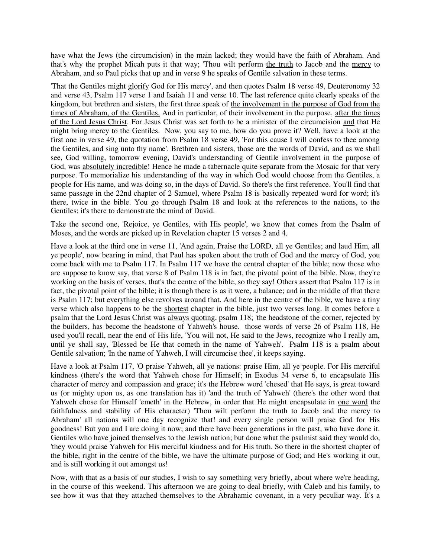have what the Jews (the circumcision) in the main lacked; they would have the faith of Abraham. And that's why the prophet Micah puts it that way; 'Thou wilt perform the truth to Jacob and the mercy to Abraham, and so Paul picks that up and in verse 9 he speaks of Gentile salvation in these terms.

'That the Gentiles might glorify God for His mercy', and then quotes Psalm 18 verse 49, Deuteronomy 32 and verse 43, Psalm 117 verse 1 and Isaiah 11 and verse 10. The last reference quite clearly speaks of the kingdom, but brethren and sisters, the first three speak of the involvement in the purpose of God from the times of Abraham, of the Gentiles. And in particular, of their involvement in the purpose, after the times of the Lord Jesus Christ. For Jesus Christ was set forth to be a minister of the circumcision and that He might bring mercy to the Gentiles. Now, you say to me, how do you prove it? Well, have a look at the first one in verse 49, the quotation from Psalm 18 verse 49, 'For this cause I will confess to thee among the Gentiles, and sing unto thy name'. Brethren and sisters, those are the words of David, and as we shall see, God willing, tomorrow evening, David's understanding of Gentile involvement in the purpose of God, was absolutely incredible! Hence he made a tabernacle quite separate from the Mosaic for that very purpose. To memorialize his understanding of the way in which God would choose from the Gentiles, a people for His name, and was doing so, in the days of David. So there's the first reference. You'll find that same passage in the 22nd chapter of 2 Samuel, where Psalm 18 is basically repeated word for word; it's there, twice in the bible. You go through Psalm 18 and look at the references to the nations, to the Gentiles; it's there to demonstrate the mind of David.

Take the second one, 'Rejoice, ye Gentiles, with His people', we know that comes from the Psalm of Moses, and the words are picked up in Revelation chapter 15 verses 2 and 4.

Have a look at the third one in verse 11, 'And again, Praise the LORD, all ye Gentiles; and laud Him, all ye people', now bearing in mind, that Paul has spoken about the truth of God and the mercy of God, you come back with me to Psalm 117. In Psalm 117 we have the central chapter of the bible; now those who are suppose to know say, that verse 8 of Psalm 118 is in fact, the pivotal point of the bible. Now, they're working on the basis of verses, that's the centre of the bible, so they say! Others assert that Psalm 117 is in fact, the pivotal point of the bible; it is though there is as it were, a balance; and in the middle of that there is Psalm 117; but everything else revolves around that. And here in the centre of the bible, we have a tiny verse which also happens to be the shortest chapter in the bible, just two verses long. It comes before a psalm that the Lord Jesus Christ was always quoting, psalm 118; 'the headstone of the corner, rejected by the builders, has become the headstone of Yahweh's house. those words of verse 26 of Psalm 118, He used you'll recall, near the end of His life, 'You will not, He said to the Jews, recognize who I really am, until ye shall say, 'Blessed be He that cometh in the name of Yahweh'. Psalm 118 is a psalm about Gentile salvation; 'In the name of Yahweh, I will circumcise thee', it keeps saying.

Have a look at Psalm 117, 'O praise Yahweh, all ye nations: praise Him, all ye people. For His merciful kindness (there's the word that Yahweh chose for Himself; in Exodus 34 verse 6, to encapsulate His character of mercy and compassion and grace; it's the Hebrew word 'chesed' that He says, is great toward us (or mighty upon us, as one translation has it) 'and the truth of Yahweh' (there's the other word that Yahweh chose for Himself 'emeth' in the Hebrew, in order that He might encapsulate in one word the faithfulness and stability of His character) 'Thou wilt perform the truth to Jacob and the mercy to Abraham' all nations will one day recognize that! and every single person will praise God for His goodness! But you and I are doing it now; and there have been generations in the past, who have done it. Gentiles who have joined themselves to the Jewish nation; but done what the psalmist said they would do, 'they would praise Yahweh for His merciful kindness and for His truth. So there in the shortest chapter of the bible, right in the centre of the bible, we have the ultimate purpose of God; and He's working it out, and is still working it out amongst us!

Now, with that as a basis of our studies, I wish to say something very briefly, about where we're heading, in the course of this weekend. This afternoon we are going to deal briefly, with Caleb and his family, to see how it was that they attached themselves to the Abrahamic covenant, in a very peculiar way. It's a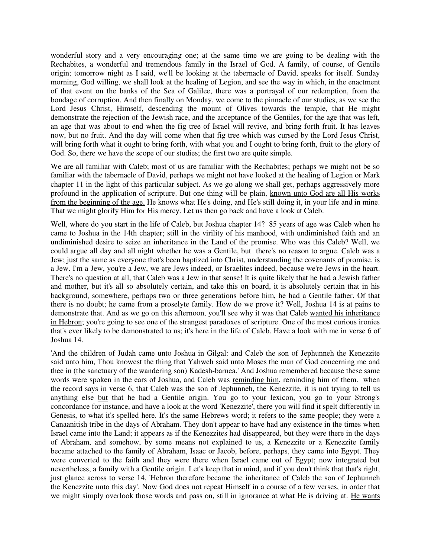wonderful story and a very encouraging one; at the same time we are going to be dealing with the Rechabites, a wonderful and tremendous family in the Israel of God. A family, of course, of Gentile origin; tomorrow night as I said, we'll be looking at the tabernacle of David, speaks for itself. Sunday morning, God willing, we shall look at the healing of Legion, and see the way in which, in the enactment of that event on the banks of the Sea of Galilee, there was a portrayal of our redemption, from the bondage of corruption. And then finally on Monday, we come to the pinnacle of our studies, as we see the Lord Jesus Christ, Himself, descending the mount of Olives towards the temple, that He might demonstrate the rejection of the Jewish race, and the acceptance of the Gentiles, for the age that was left, an age that was about to end when the fig tree of Israel will revive, and bring forth fruit. It has leaves now, but no fruit. And the day will come when that fig tree which was cursed by the Lord Jesus Christ, will bring forth what it ought to bring forth, with what you and I ought to bring forth, fruit to the glory of God. So, there we have the scope of our studies; the first two are quite simple.

We are all familiar with Caleb; most of us are familiar with the Rechabites; perhaps we might not be so familiar with the tabernacle of David, perhaps we might not have looked at the healing of Legion or Mark chapter 11 in the light of this particular subject. As we go along we shall get, perhaps aggressively more profound in the application of scripture. But one thing will be plain, known unto God are all His works from the beginning of the age. He knows what He's doing, and He's still doing it, in your life and in mine. That we might glorify Him for His mercy. Let us then go back and have a look at Caleb.

Well, where do you start in the life of Caleb, but Joshua chapter 14? 85 years of age was Caleb when he came to Joshua in the 14th chapter; still in the virility of his manhood, with undiminished faith and an undiminished desire to seize an inheritance in the Land of the promise. Who was this Caleb? Well, we could argue all day and all night whether he was a Gentile, but there's no reason to argue. Caleb was a Jew; just the same as everyone that's been baptized into Christ, understanding the covenants of promise, is a Jew. I'm a Jew, you're a Jew, we are Jews indeed, or Israelites indeed, because we're Jews in the heart. There's no question at all, that Caleb was a Jew in that sense! It is quite likely that he had a Jewish father and mother, but it's all so absolutely certain, and take this on board, it is absolutely certain that in his background, somewhere, perhaps two or three generations before him, he had a Gentile father. Of that there is no doubt; he came from a proselyte family. How do we prove it? Well, Joshua 14 is at pains to demonstrate that. And as we go on this afternoon, you'll see why it was that Caleb wanted his inheritance in Hebron; you're going to see one of the strangest paradoxes of scripture. One of the most curious ironies that's ever likely to be demonstrated to us; it's here in the life of Caleb. Have a look with me in verse 6 of Joshua 14.

'And the children of Judah came unto Joshua in Gilgal: and Caleb the son of Jephunneh the Kenezzite said unto him, Thou knowest the thing that Yahweh said unto Moses the man of God concerning me and thee in (the sanctuary of the wandering son) Kadesh-barnea.' And Joshua remembered because these same words were spoken in the ears of Joshua, and Caleb was reminding him, reminding him of them. when the record says in verse 6, that Caleb was the son of Jephunneh, the Kenezzite, it is not trying to tell us anything else but that he had a Gentile origin. You go to your lexicon, you go to your Strong's concordance for instance, and have a look at the word 'Kenezzite', there you will find it spelt differently in Genesis, to what it's spelled here. It's the same Hebrews word; it refers to the same people; they were a Canaanitish tribe in the days of Abraham. They don't appear to have had any existence in the times when Israel came into the Land; it appears as if the Kenezzites had disappeared, but they were there in the days of Abraham, and somehow, by some means not explained to us, a Kenezzite or a Kenezzite family became attached to the family of Abraham, Isaac or Jacob, before, perhaps, they came into Egypt. They were converted to the faith and they were there when Israel came out of Egypt; now integrated but nevertheless, a family with a Gentile origin. Let's keep that in mind, and if you don't think that that's right, just glance across to verse 14, 'Hebron therefore became the inheritance of Caleb the son of Jephunneh the Kenezzite unto this day'. Now God does not repeat Himself in a course of a few verses, in order that we might simply overlook those words and pass on, still in ignorance at what He is driving at. He wants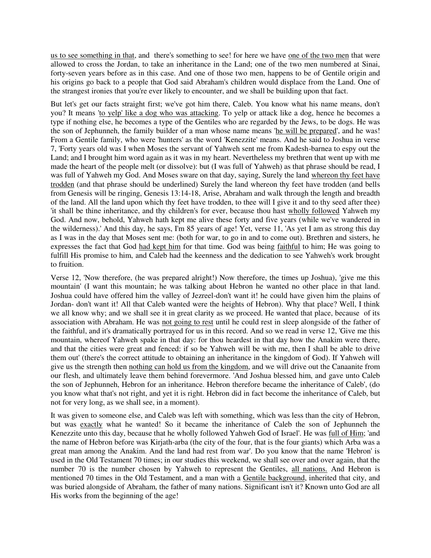us to see something in that, and there's something to see! for here we have one of the two men that were allowed to cross the Jordan, to take an inheritance in the Land; one of the two men numbered at Sinai, forty-seven years before as in this case. And one of those two men, happens to be of Gentile origin and his origins go back to a people that God said Abraham's children would displace from the Land. One of the strangest ironies that you're ever likely to encounter, and we shall be building upon that fact.

But let's get our facts straight first; we've got him there, Caleb. You know what his name means, don't you? It means 'to yelp' like a dog who was attacking. To yelp or attack like a dog, hence he becomes a type if nothing else, he becomes a type of the Gentiles who are regarded by the Jews, to be dogs. He was the son of Jephunneh, the family builder of a man whose name means 'he will be prepared', and he was! From a Gentile family, who were 'hunters' as the word 'Kenezzite' means. And he said to Joshua in verse 7, 'Forty years old was I when Moses the servant of Yahweh sent me from Kadesh-barnea to espy out the Land; and I brought him word again as it was in my heart. Nevertheless my brethren that went up with me made the heart of the people melt (or dissolve): but (I was full of Yahweh) as that phrase should be read, I was full of Yahweh my God. And Moses sware on that day, saying, Surely the land whereon thy feet have trodden (and that phrase should be underlined) Surely the land whereon thy feet have trodden (and bells from Genesis will be ringing, Genesis 13:14-18, Arise, Abraham and walk through the length and breadth of the land. All the land upon which thy feet have trodden, to thee will I give it and to thy seed after thee) 'it shall be thine inheritance, and thy children's for ever, because thou hast wholly followed Yahweh my God. And now, behold, Yahweh hath kept me alive these forty and five years (while we've wandered in the wilderness).' And this day, he says, I'm 85 years of age! Yet, verse 11, 'As yet I am as strong this day as I was in the day that Moses sent me: (both for war, to go in and to come out). Brethren and sisters, he expresses the fact that God had kept him for that time. God was being faithful to him; He was going to fulfill His promise to him, and Caleb had the keenness and the dedication to see Yahweh's work brought to fruition.

Verse 12, 'Now therefore, (he was prepared alright!) Now therefore, the times up Joshua), 'give me this mountain' (I want this mountain; he was talking about Hebron he wanted no other place in that land. Joshua could have offered him the valley of Jezreel-don't want it! he could have given him the plains of Jordan- don't want it! All that Caleb wanted were the heights of Hebron). Why that place? Well, I think we all know why; and we shall see it in great clarity as we proceed. He wanted that place, because of its association with Abraham. He was not going to rest until he could rest in sleep alongside of the father of the faithful, and it's dramatically portrayed for us in this record. And so we read in verse 12, 'Give me this mountain, whereof Yahweh spake in that day: for thou heardest in that day how the Anakim were there, and that the cities were great and fenced: if so be Yahweh will be with me, then I shall be able to drive them out' (there's the correct attitude to obtaining an inheritance in the kingdom of God). If Yahweh will give us the strength then nothing can hold us from the kingdom, and we will drive out the Canaanite from our flesh, and ultimately leave them behind forevermore. 'And Joshua blessed him, and gave unto Caleb the son of Jephunneh, Hebron for an inheritance. Hebron therefore became the inheritance of Caleb', (do you know what that's not right, and yet it is right. Hebron did in fact become the inheritance of Caleb, but not for very long, as we shall see, in a moment).

It was given to someone else, and Caleb was left with something, which was less than the city of Hebron, but was exactly what he wanted! So it became the inheritance of Caleb the son of Jephunneh the Kenezzite unto this day, because that he wholly followed Yahweh God of Israel'. He was full of Him; 'and the name of Hebron before was Kirjath-arba (the city of the four, that is the four giants) which Arba was a great man among the Anakim. And the land had rest from war'. Do you know that the name 'Hebron' is used in the Old Testament 70 times; in our studies this weekend, we shall see over and over again, that the number 70 is the number chosen by Yahweh to represent the Gentiles, all nations. And Hebron is mentioned 70 times in the Old Testament, and a man with a Gentile background, inherited that city, and was buried alongside of Abraham, the father of many nations. Significant isn't it? Known unto God are all His works from the beginning of the age!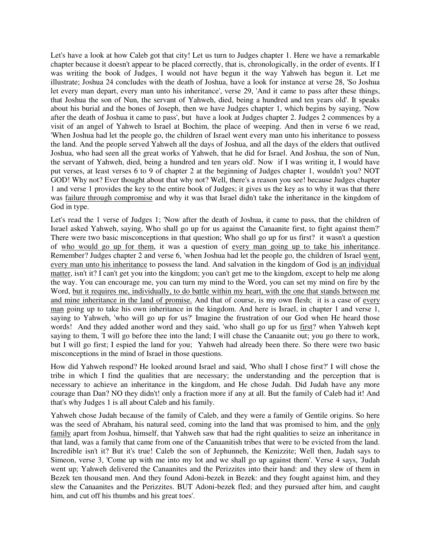Let's have a look at how Caleb got that city! Let us turn to Judges chapter 1. Here we have a remarkable chapter because it doesn't appear to be placed correctly, that is, chronologically, in the order of events. If I was writing the book of Judges, I would not have begun it the way Yahweh has begun it. Let me illustrate; Joshua 24 concludes with the death of Joshua, have a look for instance at verse 28, 'So Joshua let every man depart, every man unto his inheritance', verse 29, 'And it came to pass after these things, that Joshua the son of Nun, the servant of Yahweh, died, being a hundred and ten years old'. It speaks about his burial and the bones of Joseph, then we have Judges chapter 1, which begins by saying, 'Now after the death of Joshua it came to pass', but have a look at Judges chapter 2. Judges 2 commences by a visit of an angel of Yahweh to Israel at Bochim, the place of weeping. And then in verse 6 we read, 'When Joshua had let the people go, the children of Israel went every man unto his inheritance to possess the land. And the people served Yahweh all the days of Joshua, and all the days of the elders that outlived Joshua, who had seen all the great works of Yahweh, that he did for Israel. And Joshua, the son of Nun, the servant of Yahweh, died, being a hundred and ten years old'. Now if I was writing it, I would have put verses, at least verses 6 to 9 of chapter 2 at the beginning of Judges chapter 1, wouldn't you? NOT GOD! Why not? Ever thought about that why not? Well, there's a reason you see! because Judges chapter 1 and verse 1 provides the key to the entire book of Judges; it gives us the key as to why it was that there was failure through compromise and why it was that Israel didn't take the inheritance in the kingdom of God in type.

Let's read the 1 verse of Judges 1; 'Now after the death of Joshua, it came to pass, that the children of Israel asked Yahweh, saying, Who shall go up for us against the Canaanite first, to fight against them?' There were two basic misconceptions in that question; Who shall go up for us first? it wasn't a question of who would go up for them, it was a question of every man going up to take his inheritance. Remember? Judges chapter 2 and verse 6, 'when Joshua had let the people go, the children of Israel went, every man unto his inheritance to possess the land. And salvation in the kingdom of God is an individual matter, isn't it? I can't get you into the kingdom; you can't get me to the kingdom, except to help me along the way. You can encourage me, you can turn my mind to the Word, you can set my mind on fire by the Word, but it requires me, individually, to do battle within my heart, with the one that stands between me and mine inheritance in the land of promise. And that of course, is my own flesh; it is a case of every man going up to take his own inheritance in the kingdom. And here is Israel, in chapter 1 and verse 1, saying to Yahweh, 'who will go up for us?' Imagine the frustration of our God when He heard those words! And they added another word and they said, 'who shall go up for us first? when Yahweh kept saying to them, 'I will go before thee into the land; I will chase the Canaanite out; you go there to work, but I will go first; I espied the land for you; Yahweh had already been there. So there were two basic misconceptions in the mind of Israel in those questions.

How did Yahweh respond? He looked around Israel and said, 'Who shall I chose first?' I will chose the tribe in which I find the qualities that are necessary; the understanding and the perception that is necessary to achieve an inheritance in the kingdom, and He chose Judah. Did Judah have any more courage than Dan? NO they didn't! only a fraction more if any at all. But the family of Caleb had it! And that's why Judges 1 is all about Caleb and his family.

Yahweh chose Judah because of the family of Caleb, and they were a family of Gentile origins. So here was the seed of Abraham, his natural seed, coming into the land that was promised to him, and the only family apart from Joshua, himself, that Yahweh saw that had the right qualities to seize an inheritance in that land, was a family that came from one of the Canaanitish tribes that were to be evicted from the land. Incredible isn't it? But it's true! Caleb the son of Jephunneh, the Kenizzite; Well then, Judah says to Simeon, verse 3, 'Come up with me into my lot and we shall go up against them'. Verse 4 says, 'Judah went up; Yahweh delivered the Canaanites and the Perizzites into their hand: and they slew of them in Bezek ten thousand men. And they found Adoni-bezek in Bezek: and they fought against him, and they slew the Canaanites and the Perizzites. BUT Adoni-bezek fled; and they pursued after him, and caught him, and cut off his thumbs and his great toes'.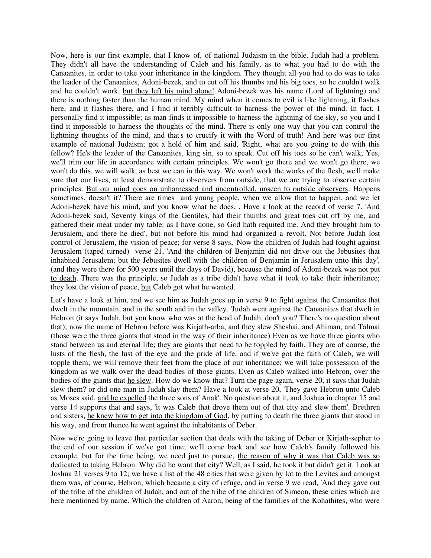Now, here is our first example, that I know of, of national Judaism in the bible. Judah had a problem. They didn't all have the understanding of Caleb and his family, as to what you had to do with the Canaanites, in order to take your inheritance in the kingdom. They thought all you had to do was to take the leader of the Canaanites, Adoni-bezek, and to cut off his thumbs and his big toes, so he couldn't walk and he couldn't work, but they left his mind alone! Adoni-bezek was his name (Lord of lightning) and there is nothing faster than the human mind. My mind when it comes to evil is like lightning, it flashes here, and it flashes there, and I find it terribly difficult to harness the power of the mind. In fact, I personally find it impossible; as man finds it impossible to harness the lightning of the sky, so you and I find it impossible to harness the thoughts of the mind. There is only one way that you can control the lightning thoughts of the mind, and that's to crucify it with the Word of truth! And here was our first example of national Judaism; got a hold of him and said, 'Right, what are you going to do with this fellow? He's the leader of the Canaanites, king sin, so to speak. Cut off his toes so he can't walk; Yes, we'll trim our life in accordance with certain principles. We won't go there and we won't go there, we won't do this, we will walk, as best we can in this way. We won't work the works of the flesh, we'll make sure that our lives, at least demonstrate to observers from outside, that we are trying to observe certain principles. But our mind goes on unharnessed and uncontrolled, unseen to outside observers. Happens sometimes, doesn't it? There are times and young people, when we allow that to happen, and we let Adoni-bezek have his mind, and you know what he does, . Have a look at the record of verse 7. 'And Adoni-bezek said, Seventy kings of the Gentiles, had their thumbs and great toes cut off by me, and gathered their meat under my table: as I have done, so God hath requited me. And they brought him to Jerusalem, and there he died', but not before his mind had organized a revolt. Not before Judah lost control of Jerusalem, the vision of peace; for verse 8 says, 'Now the children of Judah had fought against Jerusalem (taped turned) verse 21, 'And the children of Benjamin did not drive out the Jebusites that inhabited Jerusalem; but the Jebusites dwell with the children of Benjamin in Jerusalem unto this day', (and they were there for 500 years until the days of David), because the mind of Adoni-bezek was not put to death. There was the principle, so Judah as a tribe didn't have what it took to take their inheritance; they lost the vision of peace, but Caleb got what he wanted.

Let's have a look at him, and we see him as Judah goes up in verse 9 to fight against the Canaanites that dwelt in the mountain, and in the south and in the valley. 'Judah went against the Canaanites that dwelt in Hebron (it says Judah, but you know who was at the head of Judah, don't you? There's no question about that); now the name of Hebron before was Kirjath-arba, and they slew Sheshai, and Ahiman, and Talmai (those were the three giants that stood in the way of their inheritance) Even as we have three giants who stand between us and eternal life; they are giants that need to be toppled by faith. They are of course, the lusts of the flesh, the lust of the eye and the pride of life, and if we've got the faith of Caleb, we will topple them; we will remove their feet from the place of our inheritance; we will take possession of the kingdom as we walk over the dead bodies of those giants. Even as Caleb walked into Hebron, over the bodies of the giants that he slew. How do we know that? Turn the page again, verse 20, it says that Judah slew them? or did one man in Judah slay them? Have a look at verse 20, 'They gave Hebron unto Caleb as Moses said, and he expelled the three sons of Anak'. No question about it, and Joshua in chapter 15 and verse 14 supports that and says, 'it was Caleb that drove them out of that city and slew them'. Brethren and sisters, he knew how to get into the kingdom of God, by putting to death the three giants that stood in his way, and from thence he went against the inhabitants of Deber.

Now we're going to leave that particular section that deals with the taking of Deber or Kirjath-sepher to the end of our session if we've got time; we'll come back and see how Caleb's family followed his example, but for the time being, we need just to pursue, the reason of why it was that Caleb was so dedicated to taking Hebron. Why did he want that city? Well, as I said, he took it but didn't get it. Look at Joshua 21 verses 9 to 12; we have a list of the 48 cities that were given by lot to the Levites and amongst them was, of course, Hebron, which became a city of refuge, and in verse 9 we read, 'And they gave out of the tribe of the children of Judah, and out of the tribe of the children of Simeon, these cities which are here mentioned by name. Which the children of Aaron, being of the families of the Kohathites, who were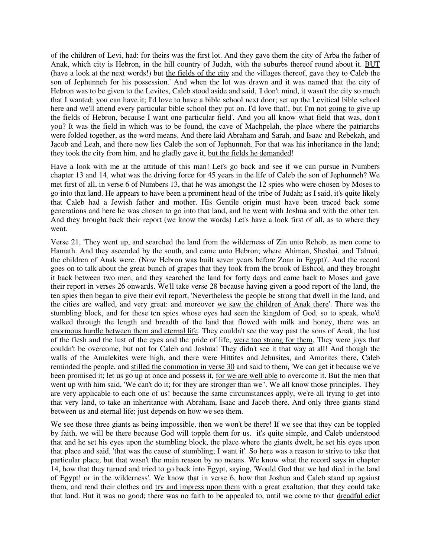of the children of Levi, had: for theirs was the first lot. And they gave them the city of Arba the father of Anak, which city is Hebron, in the hill country of Judah, with the suburbs thereof round about it. BUT (have a look at the next words!) but the fields of the city and the villages thereof, gave they to Caleb the son of Jephunneh for his possession.' And when the lot was drawn and it was named that the city of Hebron was to be given to the Levites, Caleb stood aside and said, 'I don't mind, it wasn't the city so much that I wanted; you can have it; I'd love to have a bible school next door; set up the Levitical bible school here and we'll attend every particular bible school they put on. I'd love that!, but I'm not going to give up the fields of Hebron, because I want one particular field'. And you all know what field that was, don't you? It was the field in which was to be found, the cave of Machpelah, the place where the patriarchs were folded together, as the word means. And there laid Abraham and Sarah, and Isaac and Rebekah, and Jacob and Leah, and there now lies Caleb the son of Jephunneh. For that was his inheritance in the land; they took the city from him, and he gladly gave it, but the fields he demanded!

Have a look with me at the attitude of this man! Let's go back and see if we can pursue in Numbers chapter 13 and 14, what was the driving force for 45 years in the life of Caleb the son of Jephunneh? We met first of all, in verse 6 of Numbers 13, that he was amongst the 12 spies who were chosen by Moses to go into that land. He appears to have been a prominent head of the tribe of Judah; as I said, it's quite likely that Caleb had a Jewish father and mother. His Gentile origin must have been traced back some generations and here he was chosen to go into that land, and he went with Joshua and with the other ten. And they brought back their report (we know the words) Let's have a look first of all, as to where they went.

Verse 21, 'They went up, and searched the land from the wilderness of Zin unto Rehob, as men come to Hamath. And they ascended by the south, and came unto Hebron; where Ahiman, Sheshai, and Talmai, the children of Anak were. (Now Hebron was built seven years before Zoan in Egypt)'. And the record goes on to talk about the great bunch of grapes that they took from the brook of Eshcol, and they brought it back between two men, and they searched the land for forty days and came back to Moses and gave their report in verses 26 onwards. We'll take verse 28 because having given a good report of the land, the ten spies then began to give their evil report, 'Nevertheless the people be strong that dwell in the land, and the cities are walled, and very great: and moreover we saw the children of Anak there'. There was the stumbling block, and for these ten spies whose eyes had seen the kingdom of God, so to speak, who'd walked through the length and breadth of the land that flowed with milk and honey, there was an enormous hurdle between them and eternal life. They couldn't see the way past the sons of Anak, the lust of the flesh and the lust of the eyes and the pride of life, were too strong for them. They were joys that couldn't be overcome, but not for Caleb and Joshua! They didn't see it that way at all! And though the walls of the Amalekites were high, and there were Hittites and Jebusites, and Amorites there, Caleb reminded the people, and stilled the commotion in verse 30 and said to them, 'We can get it because we've been promised it; let us go up at once and possess it, for we are well able to overcome it. But the men that went up with him said, 'We can't do it; for they are stronger than we". We all know those principles. They are very applicable to each one of us! because the same circumstances apply, we're all trying to get into that very land, to take an inheritance with Abraham, Isaac and Jacob there. And only three giants stand between us and eternal life; just depends on how we see them.

We see those three giants as being impossible, then we won't be there! If we see that they can be toppled by faith, we will be there because God will topple them for us. it's quite simple, and Caleb understood that and he set his eyes upon the stumbling block, the place where the giants dwelt, he set his eyes upon that place and said, 'that was the cause of stumbling; I want it'. So here was a reason to strive to take that particular place, but that wasn't the main reason by no means. We know what the record says in chapter 14, how that they turned and tried to go back into Egypt, saying, 'Would God that we had died in the land of Egypt! or in the wilderness'. We know that in verse 6, how that Joshua and Caleb stand up against them, and rend their clothes and try and impress upon them with a great exaltation, that they could take that land. But it was no good; there was no faith to be appealed to, until we come to that dreadful edict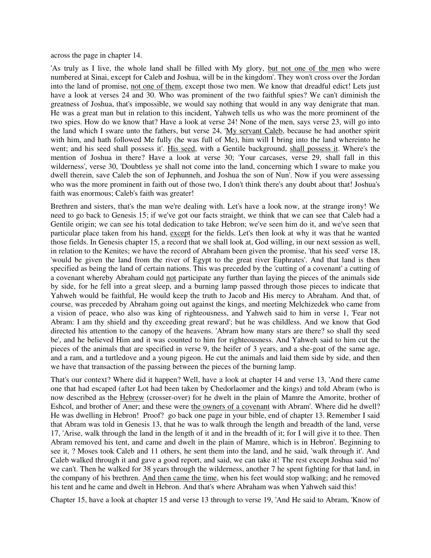across the page in chapter 14.

'As truly as I live, the whole land shall be filled with My glory, but not one of the men who were numbered at Sinai, except for Caleb and Joshua, will be in the kingdom'. They won't cross over the Jordan into the land of promise, not one of them, except those two men. We know that dreadful edict! Lets just have a look at verses 24 and 30. Who was prominent of the two faithful spies? We can't diminish the greatness of Joshua, that's impossible, we would say nothing that would in any way denigrate that man. He was a great man but in relation to this incident, Yahweh tells us who was the more prominent of the two spies. How do we know that? Have a look at verse 24! None of the men, says verse 23, will go into the land which I sware unto the fathers, but verse 24, 'My servant Caleb, because he had another spirit with him, and hath followed Me fully (he was full of Me), him will I bring into the land whereinto he went; and his seed shall possess it'. His seed, with a Gentile background, shall possess it. Where's the mention of Joshua in there? Have a look at verse 30; 'Your carcases, verse 29, shall fall in this wilderness', verse 30, 'Doubtless ye shall not come into the land, concerning which I sware to make you dwell therein, save Caleb the son of Jephunneh, and Joshua the son of Nun'. Now if you were assessing who was the more prominent in faith out of those two, I don't think there's any doubt about that! Joshua's faith was enormous; Caleb's faith was greater!

Brethren and sisters, that's the man we're dealing with. Let's have a look now, at the strange irony! We need to go back to Genesis 15; if we've got our facts straight, we think that we can see that Caleb had a Gentile origin; we can see his total dedication to take Hebron; we've seen him do it, and we've seen that particular place taken from his hand, except for the fields. Let's then look at why it was that he wanted those fields. In Genesis chapter 15, a record that we shall look at, God willing, in our next session as well, in relation to the Kenites; we have the record of Abraham been given the promise, 'that his seed' verse 18, 'would be given the land from the river of Egypt to the great river Euphrates'. And that land is then specified as being the land of certain nations. This was preceded by the 'cutting of a covenant' a cutting of a covenant whereby Abraham could not participate any further than laying the pieces of the animals side by side, for he fell into a great sleep, and a burning lamp passed through those pieces to indicate that Yahweh would be faithful, He would keep the truth to Jacob and His mercy to Abraham. And that, of course, was preceded by Abraham going out against the kings, and meeting Melchizedek who came from a vision of peace, who also was king of righteousness, and Yahweh said to him in verse 1, 'Fear not Abram: I am thy shield and thy exceeding great reward'; but he was childless. And we know that God directed his attention to the canopy of the heavens. 'Abram how many stars are there? so shall thy seed be', and he believed Him and it was counted to him for righteousness. And Yahweh said to him cut the pieces of the animals that are specified in verse 9, the heifer of 3 years, and a she-goat of the same age, and a ram, and a turtledove and a young pigeon. He cut the animals and laid them side by side, and then we have that transaction of the passing between the pieces of the burning lamp.

That's our context? Where did it happen? Well, have a look at chapter 14 and verse 13, 'And there came one that had escaped (after Lot had been taken by Chedorlaomer and the kings) and told Abram (who is now described as the Hebrew (crosser-over) for he dwelt in the plain of Mamre the Amorite, brother of Eshcol, and brother of Aner; and these were the owners of a covenant with Abram'. Where did he dwell? He was dwelling in Hebron! Proof? go back one page in your bible, end of chapter 13. Remember I said that Abram was told in Genesis 13, that he was to walk through the length and breadth of the land, verse 17, 'Arise, walk through the land in the length of it and in the breadth of it; for I will give it to thee. Then Abram removed his tent, and came and dwelt in the plain of Mamre, which is in Hebron'. Beginning to see it, ? Moses took Caleb and 11 others, he sent them into the land, and he said, 'walk through it'. And Caleb walked through it and gave a good report, and said, we can take it! The rest except Joshua said 'no' we can't. Then he walked for 38 years through the wilderness, another 7 he spent fighting for that land, in the company of his brethren. And then came the time, when his feet would stop walking; and he removed his tent and he came and dwelt in Hebron. And that's where Abraham was when Yahweh said this!

Chapter 15, have a look at chapter 15 and verse 13 through to verse 19, 'And He said to Abram, 'Know of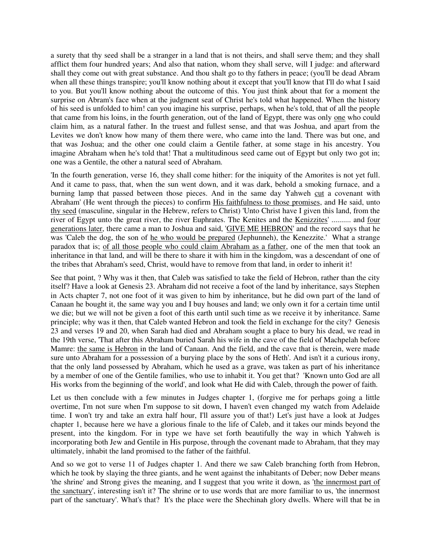a surety that thy seed shall be a stranger in a land that is not theirs, and shall serve them; and they shall afflict them four hundred years; And also that nation, whom they shall serve, will I judge: and afterward shall they come out with great substance. And thou shalt go to thy fathers in peace; (you'll be dead Abram when all these things transpire; you'll know nothing about it except that you'll know that I'll do what I said to you. But you'll know nothing about the outcome of this. You just think about that for a moment the surprise on Abram's face when at the judgment seat of Christ he's told what happened. When the history of his seed is unfolded to him! can you imagine his surprise, perhaps, when he's told, that of all the people that came from his loins, in the fourth generation, out of the land of Egypt, there was only one who could claim him, as a natural father. In the truest and fullest sense, and that was Joshua, and apart from the Levites we don't know how many of them there were, who came into the land. There was but one, and that was Joshua; and the other one could claim a Gentile father, at some stage in his ancestry. You imagine Abraham when he's told that! That a multitudinous seed came out of Egypt but only two got in; one was a Gentile, the other a natural seed of Abraham.

'In the fourth generation, verse 16, they shall come hither: for the iniquity of the Amorites is not yet full. And it came to pass, that, when the sun went down, and it was dark, behold a smoking furnace, and a burning lamp that passed between those pieces. And in the same day Yahweh cut a covenant with Abraham' (He went through the pieces) to confirm His faithfulness to those promises, and He said, unto thy seed (masculine, singular in the Hebrew, refers to Christ) 'Unto Christ have I given this land, from the river of Egypt unto the great river, the river Euphrates. The Kenites and the Kenizzites' .......... and four generations later, there came a man to Joshua and said, 'GIVE ME HEBRON' and the record says that he was 'Caleb the dog, the son of he who would be prepared (Jephunneh), the Kenezzite.' What a strange paradox that is; of all those people who could claim Abraham as a father, one of the men that took an inheritance in that land, and will be there to share it with him in the kingdom, was a descendant of one of the tribes that Abraham's seed, Christ, would have to remove from that land, in order to inherit it!

See that point, ? Why was it then, that Caleb was satisfied to take the field of Hebron, rather than the city itself? Have a look at Genesis 23. Abraham did not receive a foot of the land by inheritance, says Stephen in Acts chapter 7, not one foot of it was given to him by inheritance, but he did own part of the land of Canaan he bought it, the same way you and I buy houses and land; we only own it for a certain time until we die; but we will not be given a foot of this earth until such time as we receive it by inheritance. Same principle; why was it then, that Caleb wanted Hebron and took the field in exchange for the city? Genesis 23 and verses 19 and 20, when Sarah had died and Abraham sought a place to bury his dead, we read in the 19th verse, 'That after this Abraham buried Sarah his wife in the cave of the field of Machpelah before Mamre: the same is Hebron in the land of Canaan. And the field, and the cave that is therein, were made sure unto Abraham for a possession of a burying place by the sons of Heth'. And isn't it a curious irony, that the only land possessed by Abraham, which he used as a grave, was taken as part of his inheritance by a member of one of the Gentile families, who use to inhabit it. You get that? 'Known unto God are all His works from the beginning of the world', and look what He did with Caleb, through the power of faith.

Let us then conclude with a few minutes in Judges chapter 1, (forgive me for perhaps going a little overtime, I'm not sure when I'm suppose to sit down, I haven't even changed my watch from Adelaide time. I won't try and take an extra half hour, I'll assure you of that!) Let's just have a look at Judges chapter 1, because here we have a glorious finale to the life of Caleb, and it takes our minds beyond the present, into the kingdom. For in type we have set forth beautifully the way in which Yahweh is incorporating both Jew and Gentile in His purpose, through the covenant made to Abraham, that they may ultimately, inhabit the land promised to the father of the faithful.

And so we got to verse 11 of Judges chapter 1. And there we saw Caleb branching forth from Hebron, which he took by slaying the three giants, and he went against the inhabitants of Deber; now Deber means 'the shrine' and Strong gives the meaning, and I suggest that you write it down, as 'the innermost part of the sanctuary', interesting isn't it? The shrine or to use words that are more familiar to us, 'the innermost part of the sanctuary'. What's that? It's the place were the Shechinah glory dwells. Where will that be in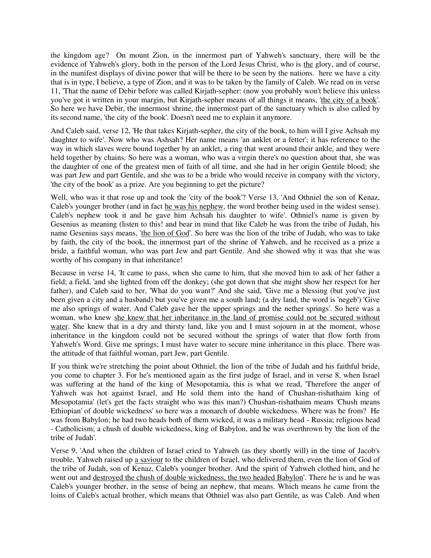the kingdom age? On mount Zion, in the innermost part of Yahweh's sanctuary, there will be the evidence of Yahweh's glory, both in the person of the Lord Jesus Christ, who is the glory, and of course, in the manifest displays of divine power that will be there to be seen by the nations. here we have a city that is in type, I believe, a type of Zion, and it was to be taken by the family of Caleb. We read on in verse 11, 'That the name of Debir before was called Kirjath-sepher: (now you probably won't believe this unless you've got it written in your margin, but Kirjath-sepher means of all things it means, 'the city of a book'. So here we have Debir, the innermost shrine, the innermost part of the sanctuary which is also called by its second name, 'the city of the book'. Doesn't need me to explain it anymore.

And Caleb said, verse 12, 'He that takes Kirjath-sepher, the city of the book, to him will I give Achsah my daughter to wife'. Now who was Ashsah? Her name means 'an anklet or a fetter'; it has reference to the way in which slaves were bound together by an anklet, a ring that went around their ankle, and they were held together by chains. So here was a woman, who was a virgin there's no question about that, she was the daughter of one of the greatest men of faith of all time, and she had in her origin Gentile blood; she was part Jew and part Gentile, and she was to be a bride who would receive in company with the victory, 'the city of the book' as a prize. Are you beginning to get the picture?

Well, who was it that rose up and took the 'city of the book'? Verse 13, 'And Othniel the son of Kenaz, Caleb's younger brother (and in fact he was his nephew, the word brother being used in the widest sense). Caleb's nephew took it and he gave him Achsah his daughter to wife'. Othniel's name is given by Gesenius as meaning (listen to this! and bear in mind that like Caleb he was from the tribe of Judah, his name Gesenius says means, 'the lion of God'. So here was the lion of the tribe of Judah, who was to take by faith, the city of the book, the innermost part of the shrine of Yahweh, and he received as a prize a bride, a faithful woman, who was part Jew and part Gentile. And she showed why it was that she was worthy of his company in that inheritance!

Because in verse 14, 'It came to pass, when she came to him, that she moved him to ask of her father a field; a field, 'and she lighted from off the donkey; (she got down that she might show her respect for her father), and Caleb said to her, 'What do you want?' And she said, 'Give me a blessing (but you've just been given a city and a husband) but you've given me a south land; (a dry land, the word is 'negeb') 'Give me also springs of water. And Caleb gave her the upper springs and the nether springs'. So here was a woman, who knew she knew that her inheritance in the land of promise could not be secured without water. She knew that in a dry and thirsty land, like you and I must sojourn in at the moment, whose inheritance in the kingdom could not be secured without the springs of water that flow forth from Yahweh's Word. Give me springs; I must have water to secure mine inheritance in this place. There was the attitude of that faithful woman, part Jew, part Gentile.

If you think we're stretching the point about Othniel, the lion of the tribe of Judah and his faithful bride, you come to chapter 3. For he's mentioned again as the first judge of Israel, and in verse 8, when Israel was suffering at the hand of the king of Mesopotamia, this is what we read, 'Therefore the anger of Yahweh was hot against Israel, and He sold them into the hand of Chushan-rishathaim king of Mesopotamia' (let's get the facts straight who was this man?) Chushan-rishathaim means 'Chush means Ethiopian' of double wickedness' so here was a monarch of double wickedness. Where was he from? He was from Babylon; he had two heads both of them wicked, it was a military head - Russia; religious head - Catholicism; a chush of double wickedness, king of Babylon, and he was overthrown by 'the lion of the tribe of Judah'.

Verse 9, 'And when the children of Israel cried to Yahweh (as they shortly will) in the time of Jacob's trouble, Yahweh raised up a saviour to the children of Israel, who delivered them, even the lion of God of the tribe of Judah, son of Kenaz, Caleb's younger brother. And the spirit of Yahweh clothed him, and he went out and destroyed the chush of double wickedness, the two headed Babylon'. There he is and he was Caleb's younger brother, in the sense of being an nephew, that means. Which means he came from the loins of Caleb's actual brother, which means that Othniel was also part Gentile, as was Caleb. And when